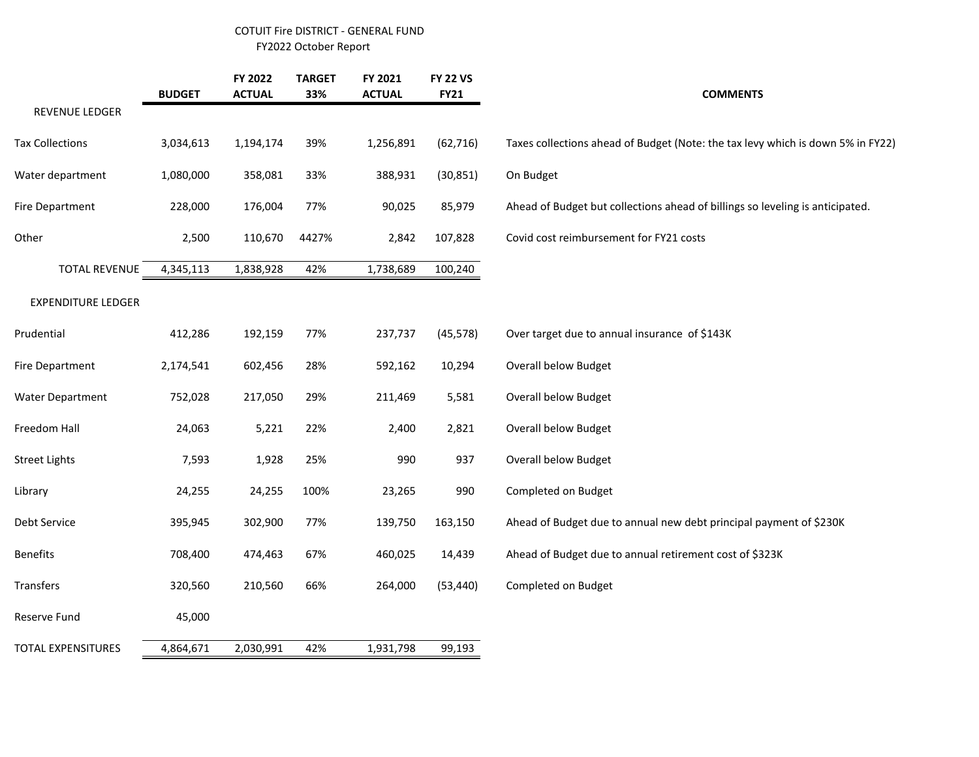## COTUIT Fire DISTRICT - GENERAL FUND FY2022 October Report

|                           | <b>BUDGET</b> | FY 2022<br><b>ACTUAL</b> | <b>TARGET</b><br>33% | FY 2021<br><b>ACTUAL</b> | <b>FY 22 VS</b><br><b>FY21</b> | <b>COMMENTS</b>                                                                 |
|---------------------------|---------------|--------------------------|----------------------|--------------------------|--------------------------------|---------------------------------------------------------------------------------|
| REVENUE LEDGER            |               |                          |                      |                          |                                |                                                                                 |
| <b>Tax Collections</b>    | 3,034,613     | 1,194,174                | 39%                  | 1,256,891                | (62, 716)                      | Taxes collections ahead of Budget (Note: the tax levy which is down 5% in FY22) |
| Water department          | 1,080,000     | 358,081                  | 33%                  | 388,931                  | (30, 851)                      | On Budget                                                                       |
| Fire Department           | 228,000       | 176,004                  | 77%                  | 90,025                   | 85,979                         | Ahead of Budget but collections ahead of billings so leveling is anticipated.   |
| Other                     | 2,500         | 110,670                  | 4427%                | 2,842                    | 107,828                        | Covid cost reimbursement for FY21 costs                                         |
| <b>TOTAL REVENUE</b>      | 4,345,113     | 1,838,928                | 42%                  | 1,738,689                | 100,240                        |                                                                                 |
| <b>EXPENDITURE LEDGER</b> |               |                          |                      |                          |                                |                                                                                 |
| Prudential                | 412,286       | 192,159                  | 77%                  | 237,737                  | (45, 578)                      | Over target due to annual insurance of \$143K                                   |
| Fire Department           | 2,174,541     | 602,456                  | 28%                  | 592,162                  | 10,294                         | <b>Overall below Budget</b>                                                     |
| Water Department          | 752,028       | 217,050                  | 29%                  | 211,469                  | 5,581                          | <b>Overall below Budget</b>                                                     |
| Freedom Hall              | 24,063        | 5,221                    | 22%                  | 2,400                    | 2,821                          | <b>Overall below Budget</b>                                                     |
| <b>Street Lights</b>      | 7,593         | 1,928                    | 25%                  | 990                      | 937                            | <b>Overall below Budget</b>                                                     |
| Library                   | 24,255        | 24,255                   | 100%                 | 23,265                   | 990                            | Completed on Budget                                                             |
| Debt Service              | 395,945       | 302,900                  | 77%                  | 139,750                  | 163,150                        | Ahead of Budget due to annual new debt principal payment of \$230K              |
| <b>Benefits</b>           | 708,400       | 474,463                  | 67%                  | 460,025                  | 14,439                         | Ahead of Budget due to annual retirement cost of \$323K                         |
| Transfers                 | 320,560       | 210,560                  | 66%                  | 264,000                  | (53, 440)                      | Completed on Budget                                                             |
| Reserve Fund              | 45,000        |                          |                      |                          |                                |                                                                                 |
| TOTAL EXPENSITURES        | 4,864,671     | 2,030,991                | 42%                  | 1,931,798                | 99,193                         |                                                                                 |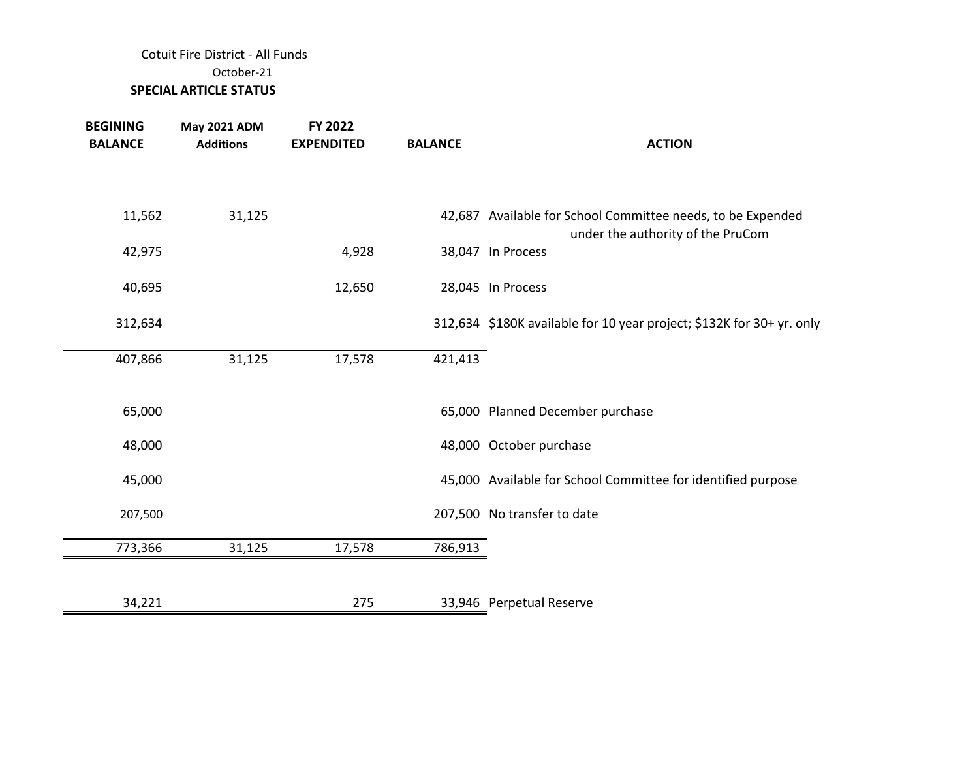## Cotuit Fire District - All Funds October-21  **SPECIAL ARTICLE STATUS**

| <b>BEGINING</b><br><b>BALANCE</b> | <b>May 2021 ADM</b><br><b>Additions</b> | FY 2022<br><b>EXPENDITED</b> | <b>BALANCE</b> | <b>ACTION</b>                                                                                    |
|-----------------------------------|-----------------------------------------|------------------------------|----------------|--------------------------------------------------------------------------------------------------|
| 11,562                            | 31,125                                  |                              |                | 42,687 Available for School Committee needs, to be Expended<br>under the authority of the PruCom |
| 42,975                            |                                         | 4,928                        |                | 38,047 In Process                                                                                |
| 40,695                            |                                         | 12,650                       |                | 28,045 In Process                                                                                |
| 312,634                           |                                         |                              |                | 312,634 \$180K available for 10 year project; \$132K for 30+ yr. only                            |
| 407,866                           | 31,125                                  | 17,578                       | 421,413        |                                                                                                  |
| 65,000                            |                                         |                              |                | 65,000 Planned December purchase                                                                 |
| 48,000                            |                                         |                              |                | 48,000 October purchase                                                                          |
| 45,000                            |                                         |                              |                | 45,000 Available for School Committee for identified purpose                                     |
| 207,500                           |                                         |                              |                | 207,500 No transfer to date                                                                      |
| 773,366                           | 31,125                                  | 17,578                       | 786,913        |                                                                                                  |
|                                   |                                         |                              |                |                                                                                                  |
| 34,221                            |                                         | 275                          |                | 33,946 Perpetual Reserve                                                                         |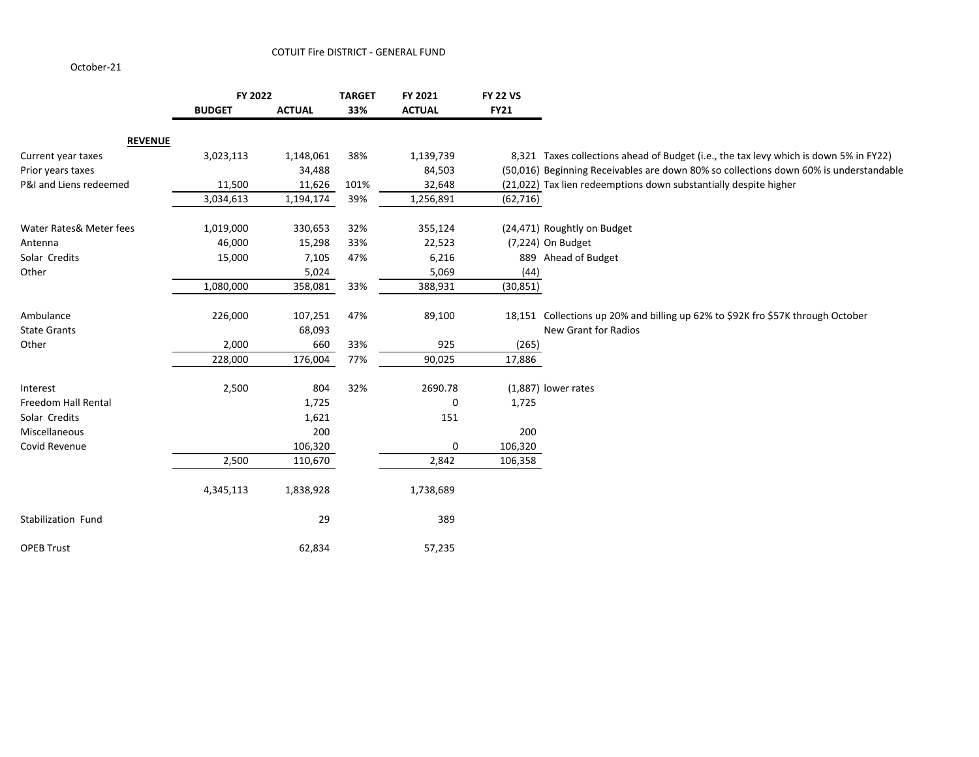October-21

|                         | FY 2022       |               | <b>TARGET</b> | FY 2021       | <b>FY 22 VS</b> |                                                                                       |
|-------------------------|---------------|---------------|---------------|---------------|-----------------|---------------------------------------------------------------------------------------|
|                         | <b>BUDGET</b> | <b>ACTUAL</b> | 33%           | <b>ACTUAL</b> | <b>FY21</b>     |                                                                                       |
| <b>REVENUE</b>          |               |               |               |               |                 |                                                                                       |
| Current year taxes      | 3,023,113     | 1,148,061     | 38%           | 1,139,739     |                 | 8,321 Taxes collections ahead of Budget (i.e., the tax levy which is down 5% in FY22) |
| Prior years taxes       |               | 34,488        |               | 84,503        |                 | (50,016) Beginning Receivables are down 80% so collections down 60% is understandable |
| P&I and Liens redeemed  | 11,500        | 11,626        | 101%          | 32,648        |                 | (21,022) Tax lien redeemptions down substantially despite higher                      |
|                         | 3,034,613     | 1,194,174     | 39%           | 1,256,891     | (62, 716)       |                                                                                       |
| Water Rates& Meter fees | 1,019,000     | 330,653       | 32%           | 355,124       |                 | (24,471) Roughtly on Budget                                                           |
| Antenna                 | 46,000        | 15,298        | 33%           | 22,523        |                 | (7,224) On Budget                                                                     |
| Solar Credits           | 15,000        | 7,105         | 47%           | 6,216         |                 | 889 Ahead of Budget                                                                   |
| Other                   |               | 5,024         |               | 5,069         | (44)            |                                                                                       |
|                         | 1,080,000     | 358,081       | 33%           | 388,931       | (30, 851)       |                                                                                       |
| Ambulance               | 226,000       | 107,251       | 47%           | 89,100        |                 | 18,151 Collections up 20% and billing up 62% to \$92K fro \$57K through October       |
| <b>State Grants</b>     |               | 68,093        |               |               |                 | New Grant for Radios                                                                  |
| Other                   | 2,000         | 660           | 33%           | 925           | (265)           |                                                                                       |
|                         | 228,000       | 176,004       | 77%           | 90,025        | 17,886          |                                                                                       |
| Interest                | 2,500         | 804           | 32%           | 2690.78       |                 | (1,887) lower rates                                                                   |
| Freedom Hall Rental     |               | 1,725         |               | 0             | 1,725           |                                                                                       |
| Solar Credits           |               | 1,621         |               | 151           |                 |                                                                                       |
| Miscellaneous           |               | 200           |               |               | 200             |                                                                                       |
| Covid Revenue           |               | 106,320       |               | 0             | 106,320         |                                                                                       |
|                         | 2,500         | 110,670       |               | 2,842         | 106,358         |                                                                                       |
|                         | 4,345,113     | 1,838,928     |               | 1,738,689     |                 |                                                                                       |
| Stabilization Fund      |               | 29            |               | 389           |                 |                                                                                       |
| <b>OPEB Trust</b>       |               | 62,834        |               | 57,235        |                 |                                                                                       |